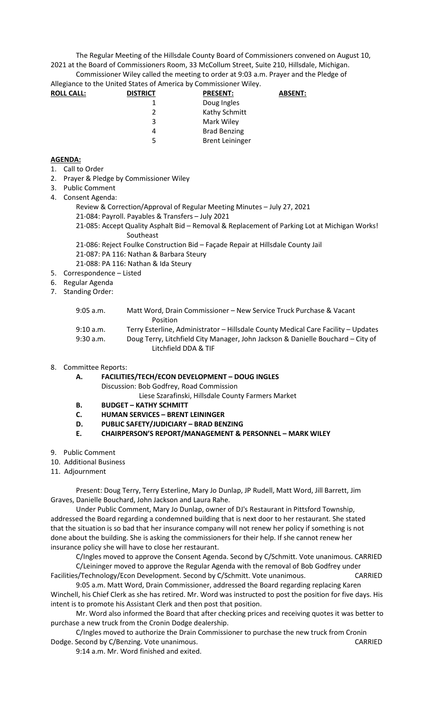The Regular Meeting of the Hillsdale County Board of Commissioners convened on August 10, 2021 at the Board of Commissioners Room, 33 McCollum Street, Suite 210, Hillsdale, Michigan.

Commissioner Wiley called the meeting to order at 9:03 a.m. Prayer and the Pledge of Allegiance to the United States of America by Commissioner Wiley.

| <b>ROLL CALL:</b> | <b>DISTRICT</b> | <b>PRESENT:</b>        | <b>ABSENT:</b> |
|-------------------|-----------------|------------------------|----------------|
|                   |                 | Doug Ingles            |                |
|                   | 2               | Kathy Schmitt          |                |
|                   | 3               | Mark Wiley             |                |
|                   | 4               | <b>Brad Benzing</b>    |                |
|                   | 5               | <b>Brent Leininger</b> |                |
|                   |                 |                        |                |

## **AGENDA:**

- 1. Call to Order
- 2. Prayer & Pledge by Commissioner Wiley
- 3. Public Comment
- 4. Consent Agenda:
	- Review & Correction/Approval of Regular Meeting Minutes July 27, 2021
	- 21-084: Payroll. Payables & Transfers July 2021
	- 21-085: Accept Quality Asphalt Bid Removal & Replacement of Parking Lot at Michigan Works! Southeast
	- 21-086: Reject Foulke Construction Bid Façade Repair at Hillsdale County Jail
	- 21-087: PA 116: Nathan & Barbara Steury
	- 21-088: PA 116: Nathan & Ida Steury
- 5. Correspondence Listed
- 6. Regular Agenda
- 7. Standing Order:

| $9:05$ a.m. | Matt Word, Drain Commissioner - New Service Truck Purchase & Vacant               |
|-------------|-----------------------------------------------------------------------------------|
|             | <b>Position</b>                                                                   |
| 9:10 a.m.   | Terry Esterline, Administrator - Hillsdale County Medical Care Facility - Updates |
| $9:30$ a.m. | Doug Terry, Litchfield City Manager, John Jackson & Danielle Bouchard – City of   |
|             | Litchfield DDA & TIF                                                              |

8. Committee Reports:

**A. FACILITIES/TECH/ECON DEVELOPMENT – DOUG INGLES** 

Discussion: Bob Godfrey, Road Commission

Liese Szarafinski, Hillsdale County Farmers Market

- **B. BUDGET KATHY SCHMITT**
- **C. HUMAN SERVICES BRENT LEININGER**
- **D. PUBLIC SAFETY/JUDICIARY BRAD BENZING**
- **E. CHAIRPERSON'S REPORT/MANAGEMENT & PERSONNEL MARK WILEY**

9. Public Comment

- 10. Additional Business
- 11. Adjournment

Present: Doug Terry, Terry Esterline, Mary Jo Dunlap, JP Rudell, Matt Word, Jill Barrett, Jim Graves, Danielle Bouchard, John Jackson and Laura Rahe.

Under Public Comment, Mary Jo Dunlap, owner of DJ's Restaurant in Pittsford Township, addressed the Board regarding a condemned building that is next door to her restaurant. She stated that the situation is so bad that her insurance company will not renew her policy if something is not done about the building. She is asking the commissioners for their help. If she cannot renew her insurance policy she will have to close her restaurant.

C/Ingles moved to approve the Consent Agenda. Second by C/Schmitt. Vote unanimous. CARRIED C/Leininger moved to approve the Regular Agenda with the removal of Bob Godfrey under

Facilities/Technology/Econ Development. Second by C/Schmitt. Vote unanimous. CARRIED 9:05 a.m. Matt Word, Drain Commissioner, addressed the Board regarding replacing Karen Winchell, his Chief Clerk as she has retired. Mr. Word was instructed to post the position for five days. His

intent is to promote his Assistant Clerk and then post that position. Mr. Word also informed the Board that after checking prices and receiving quotes it was better to purchase a new truck from the Cronin Dodge dealership.

C/Ingles moved to authorize the Drain Commissioner to purchase the new truck from Cronin Dodge. Second by C/Benzing. Vote unanimous. The contract of the case of the case of the cARRIED

9:14 a.m. Mr. Word finished and exited.